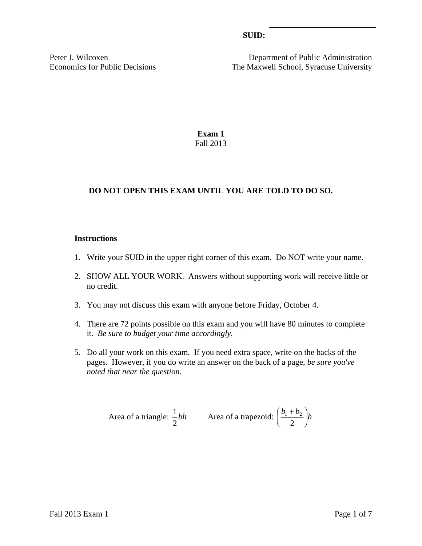Peter J. Wilcoxen Department of Public Administration Economics for Public Decisions The Maxwell School, Syracuse University

> **Exam 1**  Fall 2013

## **DO NOT OPEN THIS EXAM UNTIL YOU ARE TOLD TO DO SO.**

#### **Instructions**

- 1. Write your SUID in the upper right corner of this exam. Do NOT write your name.
- 2. SHOW ALL YOUR WORK. Answers without supporting work will receive little or no credit.
- 3. You may not discuss this exam with anyone before Friday, October 4.
- 4. There are 72 points possible on this exam and you will have 80 minutes to complete it. *Be sure to budget your time accordingly.*
- 5. Do all your work on this exam. If you need extra space, write on the backs of the pages. However, if you do write an answer on the back of a page, *be sure you've noted that near the question*.

Area of a triangle: 
$$
\frac{1}{2}bh
$$
 Area of a trapezoid:  $\left(\frac{b_1 + b_2}{2}\right)h$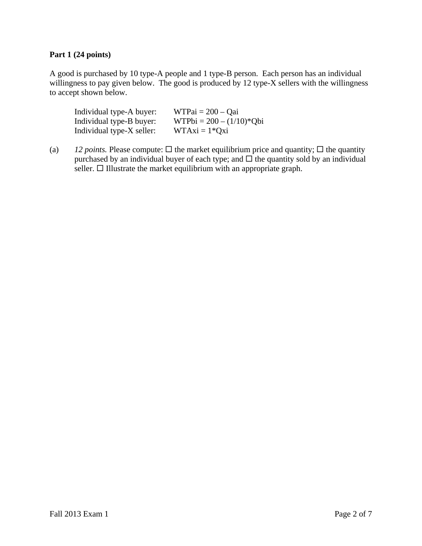## **Part 1 (24 points)**

A good is purchased by 10 type-A people and 1 type-B person. Each person has an individual willingness to pay given below. The good is produced by 12 type-X sellers with the willingness to accept shown below.

| Individual type-A buyer:  | $WTPai = 200 - Qai$        |
|---------------------------|----------------------------|
| Individual type-B buyer:  | $WTPbi = 200 - (1/10)*Qbi$ |
| Individual type-X seller: | $WTAxi = 1*Qxi$            |

(a) *12 points.* Please compute:  $\Box$  the market equilibrium price and quantity;  $\Box$  the quantity purchased by an individual buyer of each type; and  $\Box$  the quantity sold by an individual seller.  $\Box$  Illustrate the market equilibrium with an appropriate graph.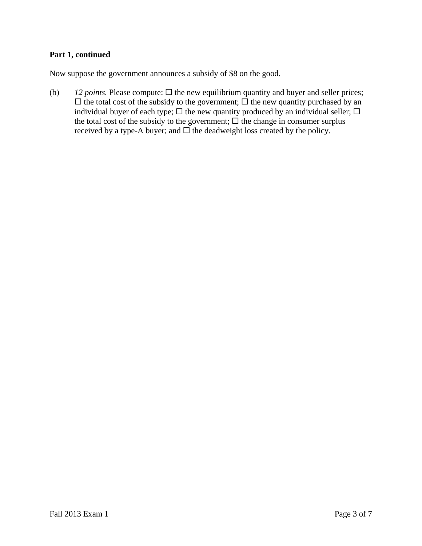# **Part 1, continued**

Now suppose the government announces a subsidy of \$8 on the good.

(b)  $12 points$ . Please compute:  $\Box$  the new equilibrium quantity and buyer and seller prices;  $\Box$  the total cost of the subsidy to the government;  $\Box$  the new quantity purchased by an individual buyer of each type;  $\Box$  the new quantity produced by an individual seller;  $\Box$ the total cost of the subsidy to the government;  $\Box$  the change in consumer surplus received by a type-A buyer; and  $\Box$  the deadweight loss created by the policy.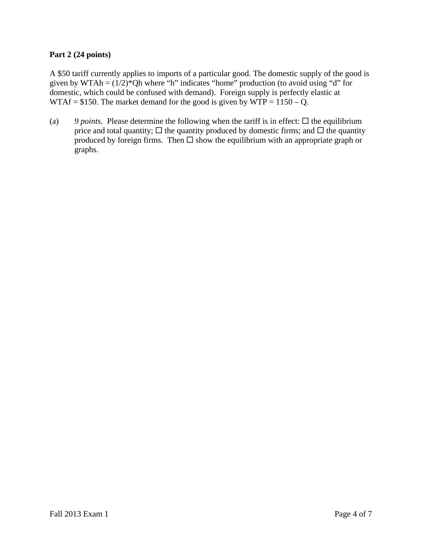### **Part 2 (24 points)**

A \$50 tariff currently applies to imports of a particular good. The domestic supply of the good is given by WTAh =  $(1/2)$ <sup>\*</sup>Qh where "h" indicates "home" production (to avoid using "d" for domestic, which could be confused with demand). Foreign supply is perfectly elastic at WTAf = \$150. The market demand for the good is given by WTP =  $1150 - Q$ .

(a) 9 *points*. Please determine the following when the tariff is in effect:  $\Box$  the equilibrium price and total quantity;  $\Box$  the quantity produced by domestic firms; and  $\Box$  the quantity produced by foreign firms. Then  $\square$  show the equilibrium with an appropriate graph or graphs.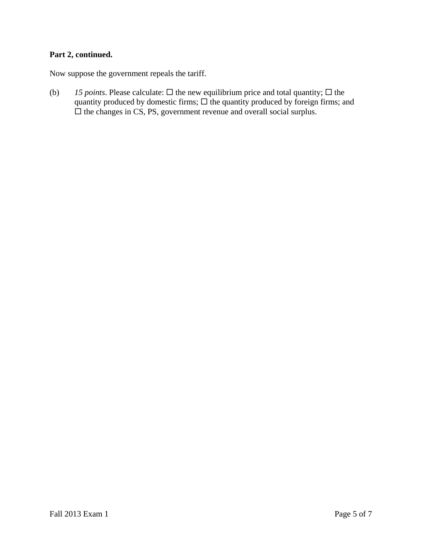# **Part 2, continued.**

Now suppose the government repeals the tariff.

(b) *15 points*. Please calculate:  $\Box$  the new equilibrium price and total quantity;  $\Box$  the quantity produced by domestic firms;  $\Box$  the quantity produced by foreign firms; and  $\Box$  the changes in CS, PS, government revenue and overall social surplus.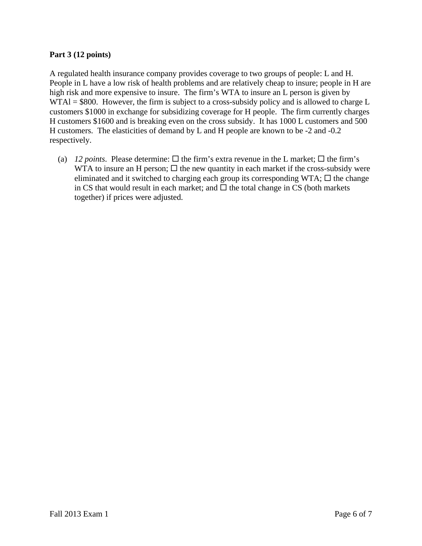### **Part 3 (12 points)**

A regulated health insurance company provides coverage to two groups of people: L and H. People in L have a low risk of health problems and are relatively cheap to insure; people in H are high risk and more expensive to insure. The firm's WTA to insure an L person is given by WTAI = \$800. However, the firm is subject to a cross-subsidy policy and is allowed to charge L customers \$1000 in exchange for subsidizing coverage for H people. The firm currently charges H customers \$1600 and is breaking even on the cross subsidy. It has 1000 L customers and 500 H customers. The elasticities of demand by L and H people are known to be -2 and -0.2 respectively.

(a) *12 points*. Please determine:  $\Box$  the firm's extra revenue in the L market;  $\Box$  the firm's WTA to insure an H person;  $\Box$  the new quantity in each market if the cross-subsidy were eliminated and it switched to charging each group its corresponding WTA;  $\Box$  the change in CS that would result in each market; and  $\Box$  the total change in CS (both markets together) if prices were adjusted.